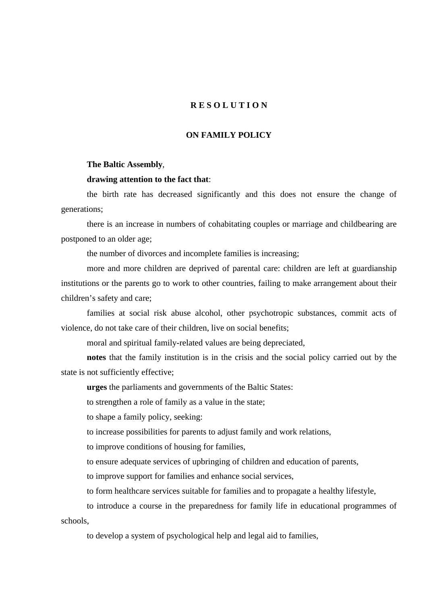## **R E S O L U T I O N**

## **ON FAMILY POLICY**

## **The Baltic Assembly**,

## **drawing attention to the fact that**:

the birth rate has decreased significantly and this does not ensure the change of generations;

there is an increase in numbers of cohabitating couples or marriage and childbearing are postponed to an older age;

the number of divorces and incomplete families is increasing;

more and more children are deprived of parental care: children are left at guardianship institutions or the parents go to work to other countries, failing to make arrangement about their children's safety and care;

families at social risk abuse alcohol, other psychotropic substances, commit acts of violence, do not take care of their children, live on social benefits;

moral and spiritual family-related values are being depreciated,

**notes** that the family institution is in the crisis and the social policy carried out by the state is not sufficiently effective;

**urges** the parliaments and governments of the Baltic States:

to strengthen a role of family as a value in the state;

to shape a family policy, seeking:

to increase possibilities for parents to adjust family and work relations,

to improve conditions of housing for families,

to ensure adequate services of upbringing of children and education of parents,

to improve support for families and enhance social services,

to form healthcare services suitable for families and to propagate a healthy lifestyle,

to introduce a course in the preparedness for family life in educational programmes of schools,

to develop a system of psychological help and legal aid to families,